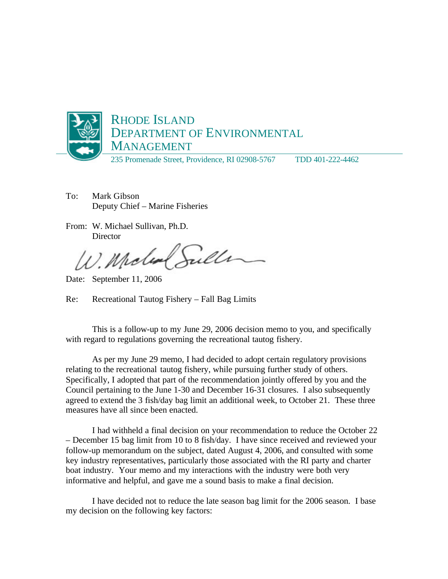

- To: Mark Gibson Deputy Chief – Marine Fisheries
- From: W. Michael Sullivan, Ph.D. **Director**

W. Moled

Date: September 11, 2006

Re: Recreational Tautog Fishery – Fall Bag Limits

This is a follow-up to my June 29, 2006 decision memo to you, and specifically with regard to regulations governing the recreational tautog fishery.

As per my June 29 memo, I had decided to adopt certain regulatory provisions relating to the recreational tautog fishery, while pursuing further study of others. Specifically, I adopted that part of the recommendation jointly offered by you and the Council pertaining to the June 1-30 and December 16-31 closures. I also subsequently agreed to extend the 3 fish/day bag limit an additional week, to October 21. These three measures have all since been enacted.

I had withheld a final decision on your recommendation to reduce the October 22 – December 15 bag limit from 10 to 8 fish/day. I have since received and reviewed your follow-up memorandum on the subject, dated August 4, 2006, and consulted with some key industry representatives, particularly those associated with the RI party and charter boat industry. Your memo and my interactions with the industry were both very informative and helpful, and gave me a sound basis to make a final decision.

I have decided not to reduce the late season bag limit for the 2006 season. I base my decision on the following key factors: